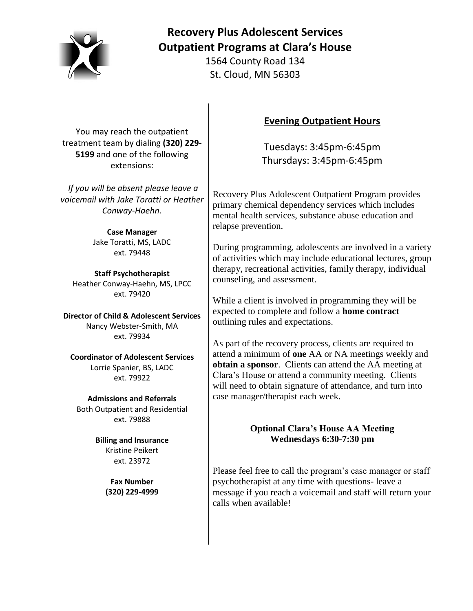

# **Recovery Plus Adolescent Services Outpatient Programs at Clara's House**

1564 County Road 134 St. Cloud, MN 56303

You may reach the outpatient treatment team by dialing **(320) 229- 5199** and one of the following extensions:

*If you will be absent please leave a voicemail with Jake Toratti or Heather Conway-Haehn.*

> **Case Manager** Jake Toratti, MS, LADC ext. 79448

**Staff Psychotherapist** Heather Conway-Haehn, MS, LPCC ext. 79420

**Director of Child & Adolescent Services** Nancy Webster-Smith, MA ext. 79934

**Coordinator of Adolescent Services** Lorrie Spanier, BS, LADC ext. 79922

**Admissions and Referrals** Both Outpatient and Residential ext. 79888

> **Billing and Insurance** Kristine Peikert ext. 23972

> > **Fax Number (320) 229-4999**

# **Evening Outpatient Hours**

Tuesdays: 3:45pm-6:45pm Thursdays: 3:45pm-6:45pm

Recovery Plus Adolescent Outpatient Program provides primary chemical dependency services which includes mental health services, substance abuse education and relapse prevention.

During programming, adolescents are involved in a variety of activities which may include educational lectures, group therapy, recreational activities, family therapy, individual counseling, and assessment.

While a client is involved in programming they will be expected to complete and follow a **home contract** outlining rules and expectations.

As part of the recovery process, clients are required to attend a minimum of **one** AA or NA meetings weekly and **obtain a sponsor**. Clients can attend the AA meeting at Clara's House or attend a community meeting. Clients will need to obtain signature of attendance, and turn into case manager/therapist each week.

### **Optional Clara's House AA Meeting Wednesdays 6:30-7:30 pm**

Please feel free to call the program's case manager or staff psychotherapist at any time with questions- leave a message if you reach a voicemail and staff will return your calls when available!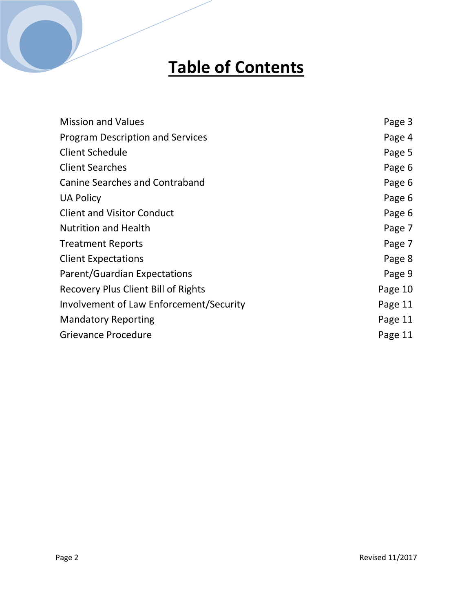# **Table of Contents**

| <b>Mission and Values</b>                  | Page 3  |
|--------------------------------------------|---------|
| <b>Program Description and Services</b>    | Page 4  |
| <b>Client Schedule</b>                     | Page 5  |
| <b>Client Searches</b>                     | Page 6  |
| <b>Canine Searches and Contraband</b>      | Page 6  |
| <b>UA Policy</b>                           | Page 6  |
| <b>Client and Visitor Conduct</b>          | Page 6  |
| <b>Nutrition and Health</b>                | Page 7  |
| <b>Treatment Reports</b>                   | Page 7  |
| <b>Client Expectations</b>                 | Page 8  |
| <b>Parent/Guardian Expectations</b>        | Page 9  |
| <b>Recovery Plus Client Bill of Rights</b> | Page 10 |
| Involvement of Law Enforcement/Security    | Page 11 |
| <b>Mandatory Reporting</b>                 | Page 11 |
| <b>Grievance Procedure</b>                 | Page 11 |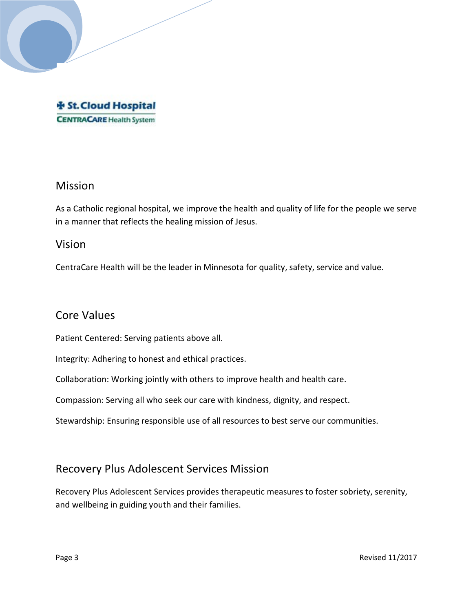

# Mission

As a Catholic regional hospital, we improve the health and quality of life for the people we serve in a manner that reflects the healing mission of Jesus.

### Vision

CentraCare Health will be the leader in Minnesota for quality, safety, service and value.

# Core Values

Patient Centered: Serving patients above all.

Integrity: Adhering to honest and ethical practices.

Collaboration: Working jointly with others to improve health and health care.

Compassion: Serving all who seek our care with kindness, dignity, and respect.

Stewardship: Ensuring responsible use of all resources to best serve our communities.

## Recovery Plus Adolescent Services Mission

Recovery Plus Adolescent Services provides therapeutic measures to foster sobriety, serenity, and wellbeing in guiding youth and their families.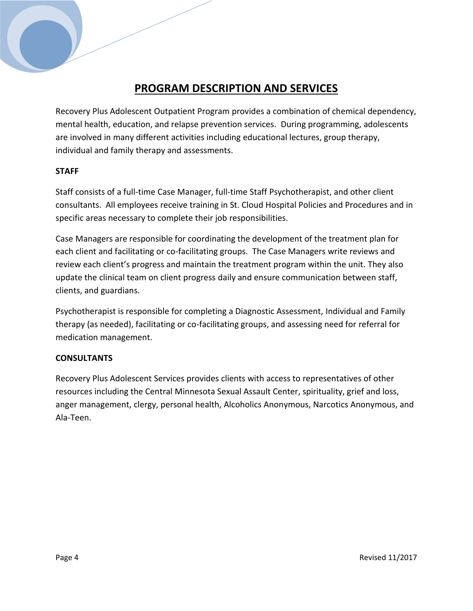# **PROGRAM DESCRIPTION AND SERVICES**

Recovery Plus Adolescent Outpatient Program provides a combination of chemical dependency, mental health, education, and relapse prevention services. During programming, adolescents are involved in many different activities including educational lectures, group therapy, individual and family therapy and assessments.

#### **STAFF**

Staff consists of a full-time Case Manager, full-time Staff Psychotherapist, and other client consultants. All employees receive training in St. Cloud Hospital Policies and Procedures and in specific areas necessary to complete their job responsibilities.

Case Managers are responsible for coordinating the development of the treatment plan for each client and facilitating or co-facilitating groups. The Case Managers write reviews and review each client's progress and maintain the treatment program within the unit. They also update the clinical team on client progress daily and ensure communication between staff, clients, and guardians.

Psychotherapist is responsible for completing a Diagnostic Assessment, Individual and Family therapy (as needed), facilitating or co-facilitating groups, and assessing need for referral for medication management.

### **CONSULTANTS**

Recovery Plus Adolescent Services provides clients with access to representatives of other resources including the Central Minnesota Sexual Assault Center, spirituality, grief and loss, anger management, clergy, personal health, Alcoholics Anonymous, Narcotics Anonymous, and Ala-Teen.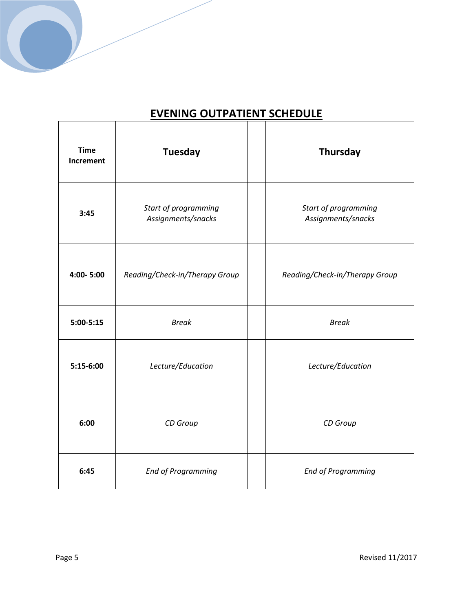

| <b>Time</b><br>Increment | <b>Tuesday</b>                             | Thursday                                   |
|--------------------------|--------------------------------------------|--------------------------------------------|
| 3:45                     | Start of programming<br>Assignments/snacks | Start of programming<br>Assignments/snacks |
| 4:00-5:00                | Reading/Check-in/Therapy Group             | Reading/Check-in/Therapy Group             |
| $5:00 - 5:15$            | <b>Break</b>                               | <b>Break</b>                               |
| 5:15-6:00                | Lecture/Education                          | Lecture/Education                          |
| 6:00                     | CD Group                                   | CD Group                                   |
| 6:45                     | <b>End of Programming</b>                  | <b>End of Programming</b>                  |

# **EVENING OUTPATIENT SCHEDULE**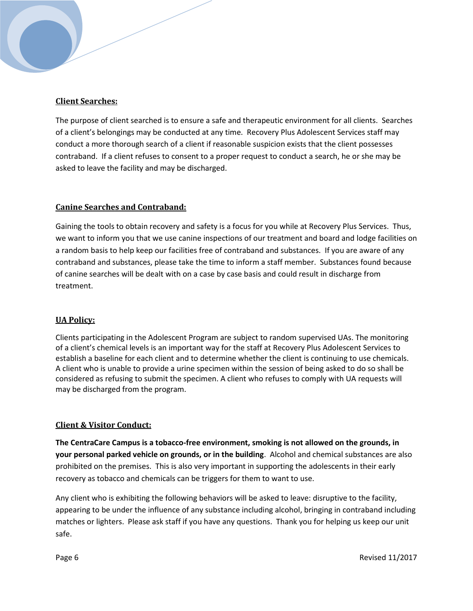#### **Client Searches:**

The purpose of client searched is to ensure a safe and therapeutic environment for all clients. Searches of a client's belongings may be conducted at any time. Recovery Plus Adolescent Services staff may conduct a more thorough search of a client if reasonable suspicion exists that the client possesses contraband. If a client refuses to consent to a proper request to conduct a search, he or she may be asked to leave the facility and may be discharged.

#### **Canine Searches and Contraband:**

Gaining the tools to obtain recovery and safety is a focus for you while at Recovery Plus Services. Thus, we want to inform you that we use canine inspections of our treatment and board and lodge facilities on a random basis to help keep our facilities free of contraband and substances. If you are aware of any contraband and substances, please take the time to inform a staff member. Substances found because of canine searches will be dealt with on a case by case basis and could result in discharge from treatment.

#### **UA Policy:**

Clients participating in the Adolescent Program are subject to random supervised UAs. The monitoring of a client's chemical levels is an important way for the staff at Recovery Plus Adolescent Services to establish a baseline for each client and to determine whether the client is continuing to use chemicals. A client who is unable to provide a urine specimen within the session of being asked to do so shall be considered as refusing to submit the specimen. A client who refuses to comply with UA requests will may be discharged from the program.

#### **Client & Visitor Conduct:**

**The CentraCare Campus is a tobacco-free environment, smoking is not allowed on the grounds, in your personal parked vehicle on grounds, or in the building**. Alcohol and chemical substances are also prohibited on the premises. This is also very important in supporting the adolescents in their early recovery as tobacco and chemicals can be triggers for them to want to use.

Any client who is exhibiting the following behaviors will be asked to leave: disruptive to the facility, appearing to be under the influence of any substance including alcohol, bringing in contraband including matches or lighters. Please ask staff if you have any questions. Thank you for helping us keep our unit safe.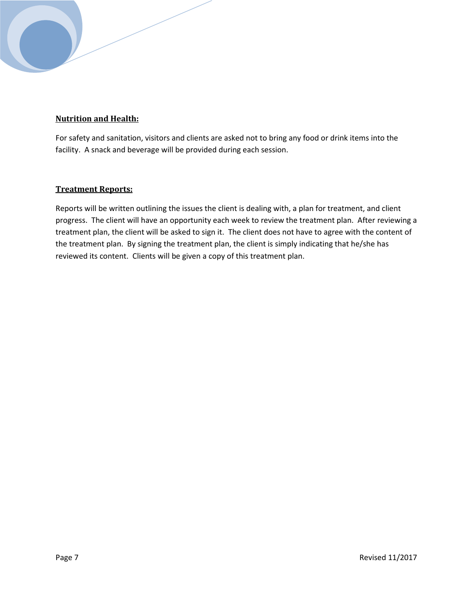### **Nutrition and Health:**

For safety and sanitation, visitors and clients are asked not to bring any food or drink items into the facility. A snack and beverage will be provided during each session.

#### **Treatment Reports:**

Reports will be written outlining the issues the client is dealing with, a plan for treatment, and client progress. The client will have an opportunity each week to review the treatment plan. After reviewing a treatment plan, the client will be asked to sign it. The client does not have to agree with the content of the treatment plan. By signing the treatment plan, the client is simply indicating that he/she has reviewed its content. Clients will be given a copy of this treatment plan.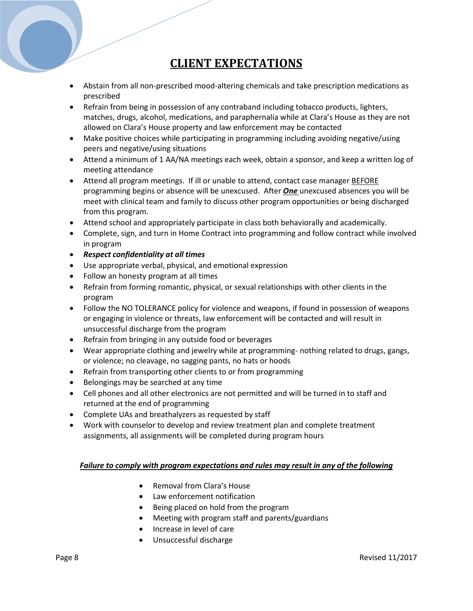# **CLIENT EXPECTATIONS**

- Abstain from all non-prescribed mood-altering chemicals and take prescription medications as prescribed
- Refrain from being in possession of any contraband including tobacco products, lighters, matches, drugs, alcohol, medications, and paraphernalia while at Clara's House as they are not allowed on Clara's House property and law enforcement may be contacted
- Make positive choices while participating in programming including avoiding negative/using peers and negative/using situations
- Attend a minimum of 1 AA/NA meetings each week, obtain a sponsor, and keep a written log of meeting attendance
- Attend all program meetings. If ill or unable to attend, contact case manager BEFORE programming begins or absence will be unexcused. After *One* unexcused absences you will be meet with clinical team and family to discuss other program opportunities or being discharged from this program.
- Attend school and appropriately participate in class both behaviorally and academically.
- Complete, sign, and turn in Home Contract into programming and follow contract while involved in program
- *Respect confidentiality at all times*
- Use appropriate verbal, physical, and emotional expression
- Follow an honesty program at all times
- Refrain from forming romantic, physical, or sexual relationships with other clients in the program
- Follow the NO TOLERANCE policy for violence and weapons, if found in possession of weapons or engaging in violence or threats, law enforcement will be contacted and will result in unsuccessful discharge from the program
- Refrain from bringing in any outside food or beverages
- Wear appropriate clothing and jewelry while at programming- nothing related to drugs, gangs, or violence; no cleavage, no sagging pants, no hats or hoods
- Refrain from transporting other clients to or from programming
- Belongings may be searched at any time
- Cell phones and all other electronics are not permitted and will be turned in to staff and returned at the end of programming
- Complete UAs and breathalyzers as requested by staff
- Work with counselor to develop and review treatment plan and complete treatment assignments, all assignments will be completed during program hours

#### *Failure to comply with program expectations and rules may result in any of the following*

- Removal from Clara's House
- Law enforcement notification
- Being placed on hold from the program
- Meeting with program staff and parents/guardians
- Increase in level of care
- Unsuccessful discharge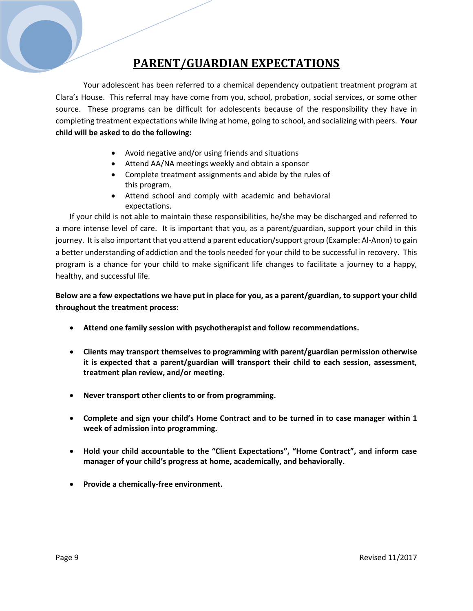# **PARENT/GUARDIAN EXPECTATIONS**

Your adolescent has been referred to a chemical dependency outpatient treatment program at Clara's House. This referral may have come from you, school, probation, social services, or some other source. These programs can be difficult for adolescents because of the responsibility they have in completing treatment expectations while living at home, going to school, and socializing with peers. **Your child will be asked to do the following:**

- Avoid negative and/or using friends and situations
- Attend AA/NA meetings weekly and obtain a sponsor
- Complete treatment assignments and abide by the rules of this program.
- Attend school and comply with academic and behavioral expectations.

If your child is not able to maintain these responsibilities, he/she may be discharged and referred to a more intense level of care. It is important that you, as a parent/guardian, support your child in this journey. It is also important that you attend a parent education/support group (Example: Al-Anon) to gain a better understanding of addiction and the tools needed for your child to be successful in recovery. This program is a chance for your child to make significant life changes to facilitate a journey to a happy, healthy, and successful life.

**Below are a few expectations we have put in place for you, as a parent/guardian, to support your child throughout the treatment process:**

- **Attend one family session with psychotherapist and follow recommendations.**
- **Clients may transport themselves to programming with parent/guardian permission otherwise it is expected that a parent/guardian will transport their child to each session, assessment, treatment plan review, and/or meeting.**
- **Never transport other clients to or from programming.**
- **Complete and sign your child's Home Contract and to be turned in to case manager within 1 week of admission into programming.**
- **Hold your child accountable to the "Client Expectations", "Home Contract", and inform case manager of your child's progress at home, academically, and behaviorally.**
- **Provide a chemically-free environment.**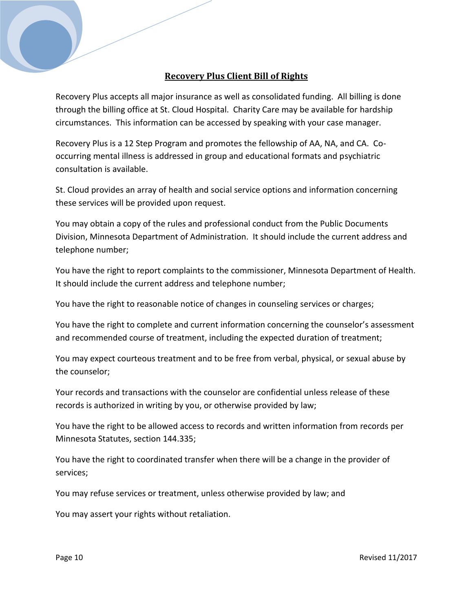### **Recovery Plus Client Bill of Rights**

Recovery Plus accepts all major insurance as well as consolidated funding. All billing is done through the billing office at St. Cloud Hospital. Charity Care may be available for hardship circumstances. This information can be accessed by speaking with your case manager.

Recovery Plus is a 12 Step Program and promotes the fellowship of AA, NA, and CA. Cooccurring mental illness is addressed in group and educational formats and psychiatric consultation is available.

St. Cloud provides an array of health and social service options and information concerning these services will be provided upon request.

You may obtain a copy of the rules and professional conduct from the Public Documents Division, Minnesota Department of Administration. It should include the current address and telephone number;

You have the right to report complaints to the commissioner, Minnesota Department of Health. It should include the current address and telephone number;

You have the right to reasonable notice of changes in counseling services or charges;

You have the right to complete and current information concerning the counselor's assessment and recommended course of treatment, including the expected duration of treatment;

You may expect courteous treatment and to be free from verbal, physical, or sexual abuse by the counselor;

Your records and transactions with the counselor are confidential unless release of these records is authorized in writing by you, or otherwise provided by law;

You have the right to be allowed access to records and written information from records per Minnesota Statutes, section 144.335;

You have the right to coordinated transfer when there will be a change in the provider of services;

You may refuse services or treatment, unless otherwise provided by law; and

You may assert your rights without retaliation.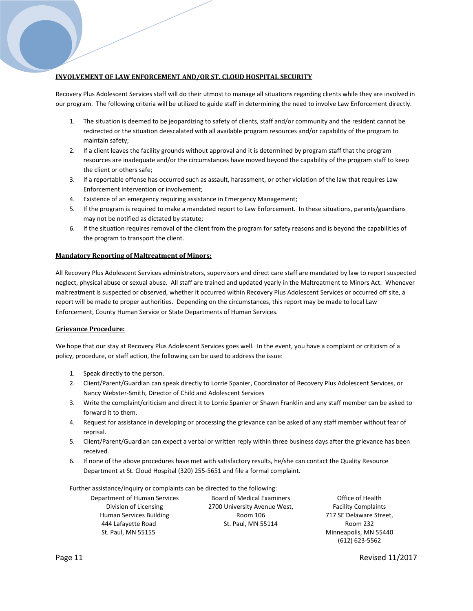#### **INVOLVEMENT OF LAW ENFORCEMENT AND/OR ST. CLOUD HOSPITAL SECURITY**

Recovery Plus Adolescent Services staff will do their utmost to manage all situations regarding clients while they are involved in our program. The following criteria will be utilized to guide staff in determining the need to involve Law Enforcement directly.

- 1. The situation is deemed to be jeopardizing to safety of clients, staff and/or community and the resident cannot be redirected or the situation deescalated with all available program resources and/or capability of the program to maintain safety;
- 2. If a client leaves the facility grounds without approval and it is determined by program staff that the program resources are inadequate and/or the circumstances have moved beyond the capability of the program staff to keep the client or others safe;
- 3. If a reportable offense has occurred such as assault, harassment, or other violation of the law that requires Law Enforcement intervention or involvement;
- 4. Existence of an emergency requiring assistance in Emergency Management;
- 5. If the program is required to make a mandated report to Law Enforcement. In these situations, parents/guardians may not be notified as dictated by statute;
- 6. If the situation requires removal of the client from the program for safety reasons and is beyond the capabilities of the program to transport the client.

#### **Mandatory Reporting of Maltreatment of Minors:**

All Recovery Plus Adolescent Services administrators, supervisors and direct care staff are mandated by law to report suspected neglect, physical abuse or sexual abuse. All staff are trained and updated yearly in the Maltreatment to Minors Act. Whenever maltreatment is suspected or observed, whether it occurred within Recovery Plus Adolescent Services or occurred off site, a report will be made to proper authorities. Depending on the circumstances, this report may be made to local Law Enforcement, County Human Service or State Departments of Human Services.

#### **Grievance Procedure:**

We hope that our stay at Recovery Plus Adolescent Services goes well. In the event, you have a complaint or criticism of a policy, procedure, or staff action, the following can be used to address the issue:

- 1. Speak directly to the person.
- 2. Client/Parent/Guardian can speak directly to Lorrie Spanier, Coordinator of Recovery Plus Adolescent Services, or Nancy Webster-Smith, Director of Child and Adolescent Services
- 3. Write the complaint/criticism and direct it to Lorrie Spanier or Shawn Franklin and any staff member can be asked to forward it to them.
- 4. Request for assistance in developing or processing the grievance can be asked of any staff member without fear of reprisal.
- 5. Client/Parent/Guardian can expect a verbal or written reply within three business days after the grievance has been received.
- 6. If none of the above procedures have met with satisfactory results, he/she can contact the Quality Resource Department at St. Cloud Hospital (320) 255-5651 and file a formal complaint.

Further assistance/inquiry or complaints can be directed to the following:

Department of Human Services Division of Licensing Human Services Building 444 Lafayette Road St. Paul, MN 55155

Board of Medical Examiners 2700 University Avenue West, Room 106 St. Paul, MN 55114

Office of Health Facility Complaints 717 SE Delaware Street, Room 232 Minneapolis, MN 55440 (612) 623-5562

Page 11 Revised 11/2017